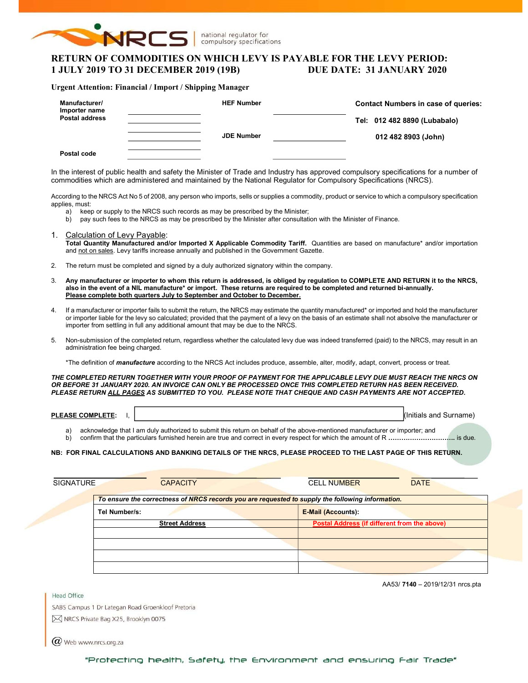

national regulator for compulsory specifications

# RETURN OF COMMODITIES ON WHICH LEVY IS PAYABLE FOR THE LEVY PERIOD: 1 JULY 2019 TO 31 DECEMBER 2019 (19B) DUE DATE: 31 JANUARY 2020

### Urgent Attention: Financial / Import / Shipping Manager

| Manufacturer/<br>Importer name<br><b>Postal address</b> | <b>HEF Number</b> | <b>Contact Numbers in case of queries:</b><br>Tel: 012 482 8890 (Lubabalo) |
|---------------------------------------------------------|-------------------|----------------------------------------------------------------------------|
| Postal code                                             | <b>JDE Number</b> | 012 482 8903 (John)                                                        |

In the interest of public health and safety the Minister of Trade and Industry has approved compulsory specifications for a number of commodities which are administered and maintained by the National Regulator for Compulsory Specifications (NRCS).

According to the NRCS Act No 5 of 2008, any person who imports, sells or supplies a commodity, product or service to which a compulsory specification applies, must:

- a) keep or supply to the NRCS such records as may be prescribed by the Minister;
- b) pay such fees to the NRCS as may be prescribed by the Minister after consultation with the Minister of Finance.
- 1. Calculation of Levy Payable: Total Quantity Manufactured and/or Imported X Applicable Commodity Tariff. Quantities are based on manufacture\* and/or importation and not on sales. Levy tariffs increase annually and published in the Government Gazette.
- 2. The return must be completed and signed by a duly authorized signatory within the company.
- 3. Any manufacturer or importer to whom this return is addressed, is obliged by regulation to COMPLETE AND RETURN it to the NRCS, also in the event of a NIL manufacture\* or import. These returns are required to be completed and returned bi-annually. Please complete both quarters July to September and October to December.
- 4. If a manufacturer or importer fails to submit the return, the NRCS may estimate the quantity manufactured\* or imported and hold the manufacturer or importer liable for the levy so calculated; provided that the payment of a levy on the basis of an estimate shall not absolve the manufacturer or importer from settling in full any additional amount that may be due to the NRCS.
- 5. Non-submission of the completed return, regardless whether the calculated levy due was indeed transferred (paid) to the NRCS, may result in an administration fee being charged.

\*The definition of *manufacture* according to the NRCS Act includes produce, assemble, alter, modify, adapt, convert, process or treat.

THE COMPLETED RETURN TOGETHER WITH YOUR PROOF OF PAYMENT FOR THE APPLICABLE LEVY DUE MUST REACH THE NRCS ON OR BEFORE 31 JANUARY 2020. AN INVOICE CAN ONLY BE PROCESSED ONCE THIS COMPLETED RETURN HAS BEEN RECEIVED. PLEASE RETURN ALL PAGES AS SUBMITTED TO YOU. PLEASE NOTE THAT CHEQUE AND CASH PAYMENTS ARE NOT ACCEPTED.

| PIEL<br>JMI<br>-<br>.<br>-- | .<br>.<br><b>SUIT</b><br>้ เคม +<br>$  -$<br>als<br>אוזור<br>and<br>чане |
|-----------------------------|--------------------------------------------------------------------------|
|                             |                                                                          |

a) acknowledge that I am duly authorized to submit this return on behalf of the above-mentioned manufacturer or importer; and b) confirm that the particulars furnished herein are true and correct in every respect for which the amount of R ………………………………… is due.

### NB: FOR FINAL CALCULATIONS AND BANKING DETAILS OF THE NRCS, PLEASE PROCEED TO THE LAST PAGE OF THIS RETURN.

| <b>SIGNATURE</b> | <b>CAPACITY</b>                                                                                  | <b>CELL NUMBER</b>                           | <b>DATE</b> |
|------------------|--------------------------------------------------------------------------------------------------|----------------------------------------------|-------------|
|                  | To ensure the correctness of NRCS records you are requested to supply the following information. |                                              |             |
|                  | Tel Number/s:                                                                                    | <b>E-Mail (Accounts):</b>                    |             |
|                  | <b>Street Address</b>                                                                            | Postal Address (if different from the above) |             |
|                  |                                                                                                  |                                              |             |
|                  |                                                                                                  |                                              |             |
|                  |                                                                                                  |                                              |             |

AA53/ 7140 – 2019/12/31 nrcs.pta

SABS Campus 1 Dr Lategan Road Groenkloof Pretoria M NRCS Private Bag X25, Brooklyn 0075

 $(\alpha)$  Web www.nrcs.org.za

Head Office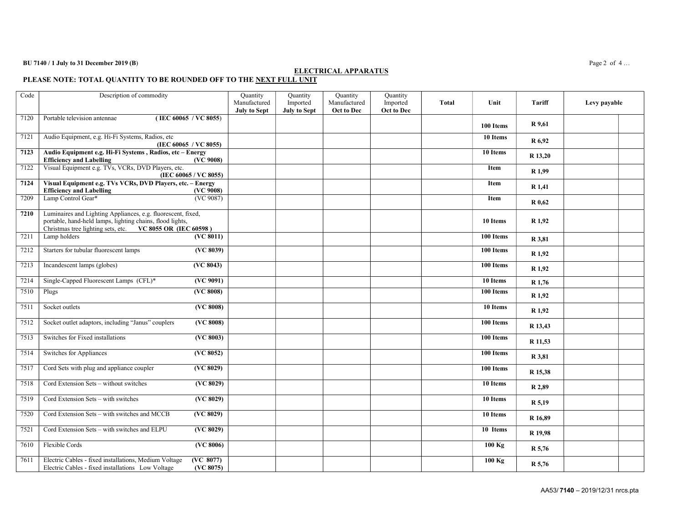## BU 7140 / 1 July to 31 December 2019 (B) Page 2 of 4...

### ELECTRICAL APPARATUS

PLEASE NOTE: TOTAL QUANTITY TO BE ROUNDED OFF TO THE NEXT FULL UNIT

| Code | Description of commodity                                                                                                                                                               |                                            | Quantity<br>Manufactured<br><b>July to Sept</b> | Quantity<br>Imported<br>July to Sept | Quantity<br>Manufactured<br>Oct to Dec | Quantity<br>Imported<br>Oct to Dec | <b>Total</b> | Unit             | Tariff            | Levy payable |  |
|------|----------------------------------------------------------------------------------------------------------------------------------------------------------------------------------------|--------------------------------------------|-------------------------------------------------|--------------------------------------|----------------------------------------|------------------------------------|--------------|------------------|-------------------|--------------|--|
| 7120 | (IEC 60065 / VC 8055)<br>Portable television antennae                                                                                                                                  |                                            |                                                 |                                      |                                        |                                    |              | 100 Items        | R 9,61            |              |  |
| 7121 | Audio Equipment, e.g. Hi-Fi Systems, Radios, etc<br>(IEC 60065 / VC 8055)                                                                                                              |                                            |                                                 |                                      |                                        |                                    |              | 10 Items         | R 6,92            |              |  |
| 7123 | Audio Equipment e.g. Hi-Fi Systems, Radios, etc - Energy<br><b>Efficiency and Labelling</b>                                                                                            | (VC 9008)                                  |                                                 |                                      |                                        |                                    |              | 10 Items         | R 13,20           |              |  |
| 7122 | Visual Equipment e.g. TVs, VCRs, DVD Players, etc.<br>(IEC 60065 / VC 8055)                                                                                                            |                                            |                                                 |                                      |                                        |                                    |              | <b>Item</b>      | R <sub>1,99</sub> |              |  |
| 7124 | Visual Equipment e.g. TVs VCRs, DVD Players, etc. - Energy<br><b>Efficiency and Labelling</b>                                                                                          | (VC 9008)                                  |                                                 |                                      |                                        |                                    |              | <b>Item</b>      | R 1,41            |              |  |
| 7209 | Lamp Control Gear*                                                                                                                                                                     | (VC 9087)                                  |                                                 |                                      |                                        |                                    |              | <b>Item</b>      | R 0,62            |              |  |
| 7210 | Luminaires and Lighting Appliances, e.g. fluorescent, fixed,<br>portable, hand-held lamps, lighting chains, flood lights,<br>Christmas tree lighting sets, etc. VC 8055 OR (IEC 60598) |                                            |                                                 |                                      |                                        |                                    |              | 10 Items         | R <sub>1,92</sub> |              |  |
| 7211 | Lamp holders                                                                                                                                                                           | (VC 8011)                                  |                                                 |                                      |                                        |                                    |              | 100 Items        | R 3,81            |              |  |
| 7212 | Starters for tubular fluorescent lamps                                                                                                                                                 | (VC 8039)                                  |                                                 |                                      |                                        |                                    |              | 100 Items        | R <sub>1,92</sub> |              |  |
| 7213 | Incandescent lamps (globes)                                                                                                                                                            | (VC 8043)                                  |                                                 |                                      |                                        |                                    |              | 100 Items        | R <sub>1.92</sub> |              |  |
| 7214 | Single-Capped Fluorescent Lamps (CFL)*                                                                                                                                                 | (VC 9091)                                  |                                                 |                                      |                                        |                                    |              | 10 Items         | R 1,76            |              |  |
| 7510 | Plugs                                                                                                                                                                                  | (VC 8008)                                  |                                                 |                                      |                                        |                                    |              | 100 Items        | R 1,92            |              |  |
| 7511 | Socket outlets                                                                                                                                                                         | (VC 8008)                                  |                                                 |                                      |                                        |                                    |              | 10 Items         | R 1,92            |              |  |
| 7512 | Socket outlet adaptors, including "Janus" couplers                                                                                                                                     | (VC 8008)                                  |                                                 |                                      |                                        |                                    |              | 100 Items        | R 13,43           |              |  |
| 7513 | Switches for Fixed installations                                                                                                                                                       | (VC 8003)                                  |                                                 |                                      |                                        |                                    |              | 100 Items        | R 11,53           |              |  |
| 7514 | Switches for Appliances                                                                                                                                                                | (VC 8052)                                  |                                                 |                                      |                                        |                                    |              | 100 Items        | R 3,81            |              |  |
| 7517 | Cord Sets with plug and appliance coupler                                                                                                                                              | (VC 8029)                                  |                                                 |                                      |                                        |                                    |              | 100 Items        | R 15,38           |              |  |
| 7518 | Cord Extension Sets - without switches                                                                                                                                                 | (VC 8029)                                  |                                                 |                                      |                                        |                                    |              | 10 Items         | R 2,89            |              |  |
| 7519 | Cord Extension Sets - with switches                                                                                                                                                    | (VC 8029)                                  |                                                 |                                      |                                        |                                    |              | 10 Items         | R 5,19            |              |  |
| 7520 | Cord Extension Sets - with switches and MCCB                                                                                                                                           | (VC 8029)                                  |                                                 |                                      |                                        |                                    |              | 10 Items         | R 16,89           |              |  |
| 7521 | Cord Extension Sets - with switches and ELPU                                                                                                                                           | (VC 8029)                                  |                                                 |                                      |                                        |                                    |              | 10 Items         | R 19,98           |              |  |
| 7610 | Flexible Cords                                                                                                                                                                         | (VC 8006)                                  |                                                 |                                      |                                        |                                    |              | $100 \text{ kg}$ | R 5,76            |              |  |
| 7611 | Electric Cables - fixed installations, Medium Voltage<br>Electric Cables - fixed installations Low Voltage                                                                             | $\overline{\text{(VC 8077)}}$<br>(VC 8075) |                                                 |                                      |                                        |                                    |              | $100$ Kg         | R 5,76            |              |  |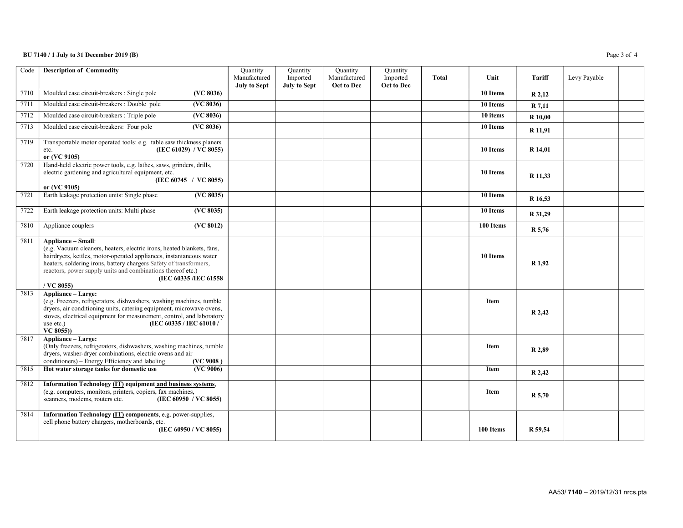## BU 7140 / 1 July to 31 December 2019 (B) Page 3 of 4

| Code | <b>Description of Commodity</b>                                                                                                                                                                                                                                                                                                                        | Quantity<br>Manufactured<br><b>July to Sept</b> | Quantity<br>Imported<br><b>July to Sept</b> | Quantity<br>Manufactured<br>Oct to Dec | Quantity<br>Imported<br>Oct to Dec | <b>Total</b> | Unit        | Tariff         | Levy Payable |
|------|--------------------------------------------------------------------------------------------------------------------------------------------------------------------------------------------------------------------------------------------------------------------------------------------------------------------------------------------------------|-------------------------------------------------|---------------------------------------------|----------------------------------------|------------------------------------|--------------|-------------|----------------|--------------|
| 7710 | Moulded case circuit-breakers : Single pole<br>(VC 8036)                                                                                                                                                                                                                                                                                               |                                                 |                                             |                                        |                                    |              | 10 Items    | R 2,12         |              |
| 7711 | Moulded case circuit-breakers : Double pole<br>(VC 8036)                                                                                                                                                                                                                                                                                               |                                                 |                                             |                                        |                                    |              | 10 Items    | R 7,11         |              |
| 7712 | Moulded case circuit-breakers : Triple pole<br>(VC 8036)                                                                                                                                                                                                                                                                                               |                                                 |                                             |                                        |                                    |              | 10 items    | <b>R</b> 10,00 |              |
| 7713 | Moulded case circuit-breakers: Four pole<br>(VC 8036)                                                                                                                                                                                                                                                                                                  |                                                 |                                             |                                        |                                    |              | 10 Items    | R 11,91        |              |
| 7719 | Transportable motor operated tools: e.g. table saw thickness planers<br>(IEC 61029) / VC 8055)<br>etc.<br>or (VC 9105)                                                                                                                                                                                                                                 |                                                 |                                             |                                        |                                    |              | 10 Items    | R 14,01        |              |
| 7720 | Hand-held electric power tools, e.g. lathes, saws, grinders, drills,<br>electric gardening and agricultural equipment, etc.<br>(IEC 60745 / VC 8055)<br>or (VC 9105)                                                                                                                                                                                   |                                                 |                                             |                                        |                                    |              | 10 Items    | R 11,33        |              |
| 7721 | Earth leakage protection units: Single phase<br>(VC 8035)                                                                                                                                                                                                                                                                                              |                                                 |                                             |                                        |                                    |              | 10 Items    | R 16.53        |              |
| 7722 | Earth leakage protection units: Multi phase<br>(VC 8035)                                                                                                                                                                                                                                                                                               |                                                 |                                             |                                        |                                    |              | 10 Items    | R 31,29        |              |
| 7810 | Appliance couplers<br>(VC 8012)                                                                                                                                                                                                                                                                                                                        |                                                 |                                             |                                        |                                    |              | 100 Items   | R 5,76         |              |
| 7811 | <b>Appliance – Small:</b><br>(e.g. Vacuum cleaners, heaters, electric irons, heated blankets, fans,<br>hairdryers, kettles, motor-operated appliances, instantaneous water<br>heaters, soldering irons, battery chargers Safety of transformers,<br>reactors, power supply units and combinations thereof etc.)<br>(IEC 60335 /IEC 61558<br>/ VC 8055) |                                                 |                                             |                                        |                                    |              | 10 Items    | R 1,92         |              |
| 7813 | Appliance - Large:<br>(e.g. Freezers, refrigerators, dishwashers, washing machines, tumble<br>dryers, air conditioning units, catering equipment, microwave ovens,<br>stoves, electrical equipment for measurement, control, and laboratory<br>(IEC 60335 / IEC 61010 /<br>use etc.)<br>VC 8055))                                                      |                                                 |                                             |                                        |                                    |              | <b>Item</b> | R 2,42         |              |
| 7817 | Appliance - Large:<br>(Only freezers, refrigerators, dishwashers, washing machines, tumble<br>dryers, washer-dryer combinations, electric ovens and air<br>conditioners) - Energy Efficiency and labeling<br>(VC 9008)                                                                                                                                 |                                                 |                                             |                                        |                                    |              | <b>Item</b> | R 2,89         |              |
| 7815 | Hot water storage tanks for domestic use<br>$\overline{\text{AVC }9006}$                                                                                                                                                                                                                                                                               |                                                 |                                             |                                        |                                    |              | Item        | R 2,42         |              |
| 7812 | Information Technology (IT) equipment and business systems,<br>(e.g. computers, monitors, printers, copiers, fax machines,<br>scanners, modems, routers etc.<br>(IEC 60950 / VC 8055)                                                                                                                                                                  |                                                 |                                             |                                        |                                    |              | Item        | <b>R</b> 5,70  |              |
| 7814 | Information Technology (IT) components, e.g. power-supplies,<br>cell phone battery chargers, motherboards, etc.<br>(IEC 60950 / VC 8055)                                                                                                                                                                                                               |                                                 |                                             |                                        |                                    |              | 100 Items   | R 59,54        |              |